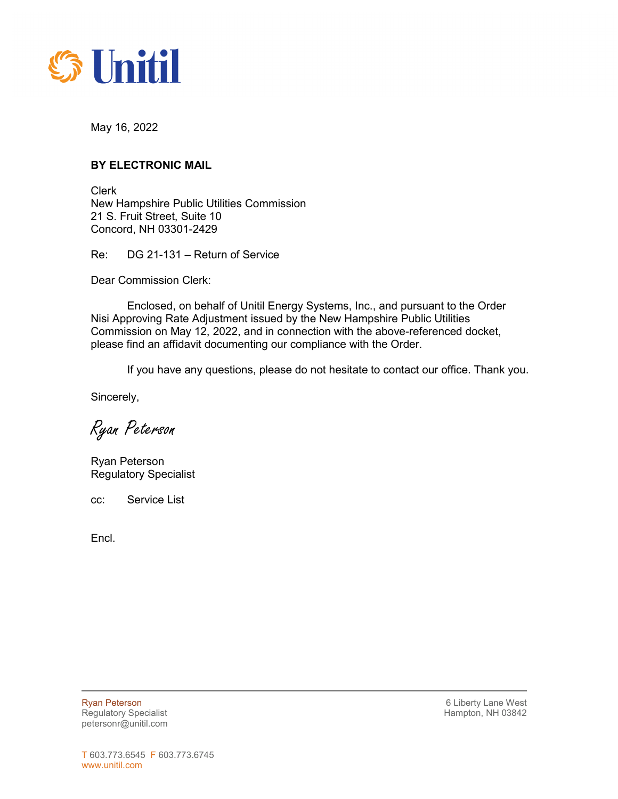

May 16, 2022

## **BY ELECTRONIC MAIL**

Clerk New Hampshire Public Utilities Commission 21 S. Fruit Street, Suite 10 Concord, NH 03301-2429

Re: DG 21-131 – Return of Service

Dear Commission Clerk:

Enclosed, on behalf of Unitil Energy Systems, Inc., and pursuant to the Order Nisi Approving Rate Adjustment issued by the New Hampshire Public Utilities Commission on May 12, 2022, and in connection with the above-referenced docket, please find an affidavit documenting our compliance with the Order.

If you have any questions, please do not hesitate to contact our office. Thank you.

Sincerely,

Ryan Peterson

Ryan Peterson Regulatory Specialist

cc: Service List

Encl.

Ryan Peterson **6 Liberty Lane West 6 Liberty Lane West** Regulatory Specialist **Hampton, NH 03842 Hampton, NH 03842** petersonr@unitil.com

 $\overline{a}$